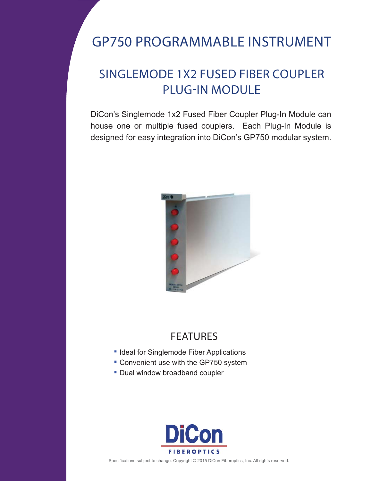## GP750 PROGRAMMABLE INSTRUMENT

## SINGLEMODE 1X2 FUSED FIBER COUPLER PLUG-IN MODULE

DiCon's Singlemode 1x2 Fused Fiber Coupler Plug-In Module can house one or multiple fused couplers. Each Plug-In Module is designed for easy integration into DiCon's GP750 modular system.



## FEATURES

- **Ideal for Singlemode Fiber Applications**
- Convenient use with the GP750 system
- **Dual window broadband coupler**



Specifications subject to change. Copyright © 2015 DiCon Fiberoptics, Inc. All rights reserved.